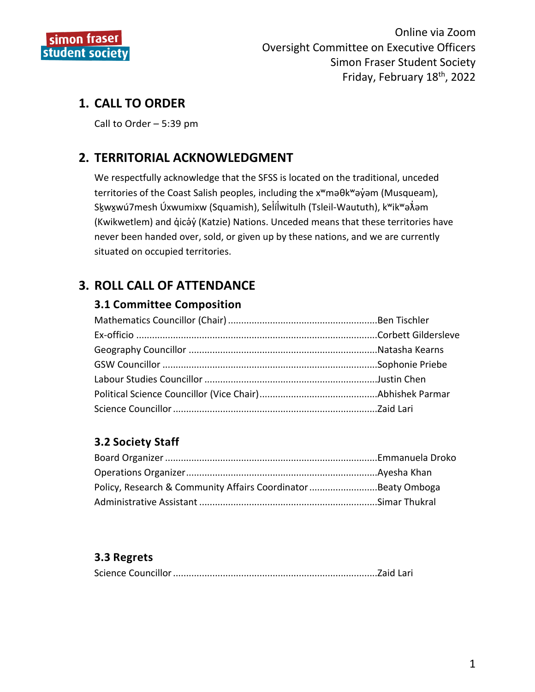

# **1. CALL TO ORDER**

Call to Order – 5:39 pm

# **2. TERRITORIAL ACKNOWLEDGMENT**

We respectfully acknowledge that the SFSS is located on the traditional, unceded territories of the Coast Salish peoples, including the x<sup>w</sup>maθk<sup>w</sup>ay̓am (Musqueam), Skwxwú7mesh Úxwumixw (Squamish), Selílwitulh (Tsleil-Waututh), k<sup>w</sup>ik<sup>w</sup>ə $\hat{x}$ əm (Kwikwetlem) and q̓icə̓y̓(Katzie) Nations. Unceded means that these territories have never been handed over, sold, or given up by these nations, and we are currently situated on occupied territories.

# **3. ROLL CALL OF ATTENDANCE**

#### **3.1 Committee Composition**

# **3.2 Society Staff**

| Policy, Research & Community Affairs CoordinatorBeaty Omboga |  |
|--------------------------------------------------------------|--|
|                                                              |  |

## **3.3 Regrets**

|--|--|--|--|--|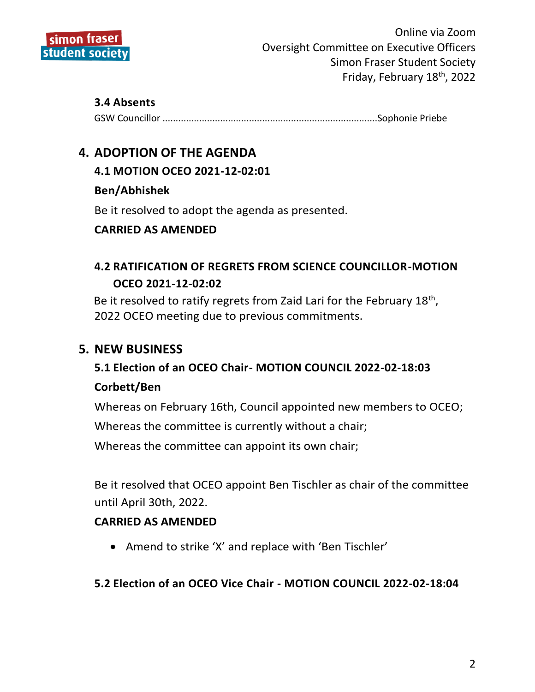

#### **3.4 Absents**

GSW Councillor ..................................................................................Sophonie Priebe

# **4. ADOPTION OF THE AGENDA**

## **4.1 MOTION OCEO 2021-12-02:01**

## **Ben/Abhishek**

Be it resolved to adopt the agenda as presented.

# **CARRIED AS AMENDED**

# **4.2 RATIFICATION OF REGRETS FROM SCIENCE COUNCILLOR-MOTION OCEO 2021-12-02:02**

Be it resolved to ratify regrets from Zaid Lari for the February  $18<sup>th</sup>$ , 2022 OCEO meeting due to previous commitments.

# **5. NEW BUSINESS**

# **5.1 Election of an OCEO Chair- MOTION COUNCIL 2022-02-18:03**

#### **Corbett/Ben**

Whereas on February 16th, Council appointed new members to OCEO; Whereas the committee is currently without a chair; Whereas the committee can appoint its own chair;

Be it resolved that OCEO appoint Ben Tischler as chair of the committee until April 30th, 2022.

#### **CARRIED AS AMENDED**

Amend to strike 'X' and replace with 'Ben Tischler'

#### **5.2 Election of an OCEO Vice Chair - MOTION COUNCIL 2022-02-18:04**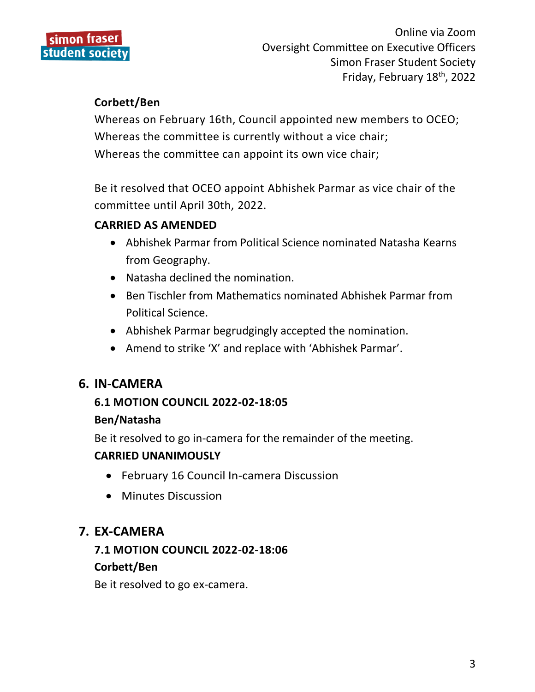

## **Corbett/Ben**

Whereas on February 16th, Council appointed new members to OCEO; Whereas the committee is currently without a vice chair; Whereas the committee can appoint its own vice chair;

Be it resolved that OCEO appoint Abhishek Parmar as vice chair of the committee until April 30th, 2022.

# **CARRIED AS AMENDED**

- Abhishek Parmar from Political Science nominated Natasha Kearns from Geography.
- Natasha declined the nomination.
- Ben Tischler from Mathematics nominated Abhishek Parmar from Political Science.
- Abhishek Parmar begrudgingly accepted the nomination.
- Amend to strike 'X' and replace with 'Abhishek Parmar'.

# **6. IN-CAMERA**

## **6.1 MOTION COUNCIL 2022-02-18:05**

#### **Ben/Natasha**

Be it resolved to go in-camera for the remainder of the meeting. **CARRIED UNANIMOUSLY**

- February 16 Council In-camera Discussion
- Minutes Discussion

# **7. EX-CAMERA**

# **7.1 MOTION COUNCIL 2022-02-18:06**

#### **Corbett/Ben**

Be it resolved to go ex-camera.